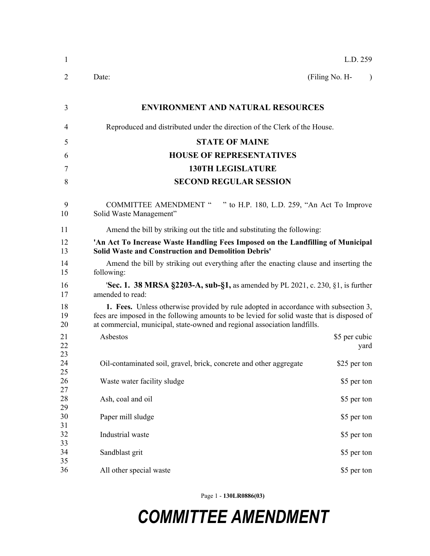| 1              |                                                                                                                                                                                                                                                                       | L.D. 259                    |  |  |
|----------------|-----------------------------------------------------------------------------------------------------------------------------------------------------------------------------------------------------------------------------------------------------------------------|-----------------------------|--|--|
| 2              | Date:                                                                                                                                                                                                                                                                 | (Filing No. H-<br>$\lambda$ |  |  |
| 3              | <b>ENVIRONMENT AND NATURAL RESOURCES</b>                                                                                                                                                                                                                              |                             |  |  |
| 4              | Reproduced and distributed under the direction of the Clerk of the House.                                                                                                                                                                                             |                             |  |  |
| 5              | <b>STATE OF MAINE</b>                                                                                                                                                                                                                                                 |                             |  |  |
| 6              | <b>HOUSE OF REPRESENTATIVES</b>                                                                                                                                                                                                                                       |                             |  |  |
| 7              | <b>130TH LEGISLATURE</b>                                                                                                                                                                                                                                              |                             |  |  |
| 8              | <b>SECOND REGULAR SESSION</b>                                                                                                                                                                                                                                         |                             |  |  |
| 9<br>10        | COMMITTEE AMENDMENT " " to H.P. 180, L.D. 259, "An Act To Improve<br>Solid Waste Management"                                                                                                                                                                          |                             |  |  |
| 11             | Amend the bill by striking out the title and substituting the following:                                                                                                                                                                                              |                             |  |  |
| 12<br>13       | 'An Act To Increase Waste Handling Fees Imposed on the Landfilling of Municipal<br><b>Solid Waste and Construction and Demolition Debris'</b>                                                                                                                         |                             |  |  |
| 14<br>15       | Amend the bill by striking out everything after the enacting clause and inserting the<br>following:                                                                                                                                                                   |                             |  |  |
| 16<br>17       | <b>'Sec. 1. 38 MRSA §2203-A, sub-§1, as amended by PL 2021, c. 230, §1, is further</b><br>amended to read:                                                                                                                                                            |                             |  |  |
| 18<br>19<br>20 | <b>1. Fees.</b> Unless otherwise provided by rule adopted in accordance with subsection 3,<br>fees are imposed in the following amounts to be levied for solid waste that is disposed of<br>at commercial, municipal, state-owned and regional association landfills. |                             |  |  |
| 21<br>22       | Asbestos                                                                                                                                                                                                                                                              | \$5 per cubic<br>yard       |  |  |
| 23<br>24<br>25 | Oil-contaminated soil, gravel, brick, concrete and other aggregate                                                                                                                                                                                                    | \$25 per ton                |  |  |
| 26<br>27       | Waste water facility sludge                                                                                                                                                                                                                                           | \$5 per ton                 |  |  |
| 28<br>29       | Ash, coal and oil                                                                                                                                                                                                                                                     | \$5 per ton                 |  |  |
| 30<br>31       | Paper mill sludge                                                                                                                                                                                                                                                     | \$5 per ton                 |  |  |
| 32<br>33       | Industrial waste                                                                                                                                                                                                                                                      | \$5 per ton                 |  |  |
| 34<br>35       | Sandblast grit                                                                                                                                                                                                                                                        | \$5 per ton                 |  |  |
| 36             | All other special waste                                                                                                                                                                                                                                               | \$5 per ton                 |  |  |

Page 1 - **130LR0886(03)**

## *COMMITTEE AMENDMENT*